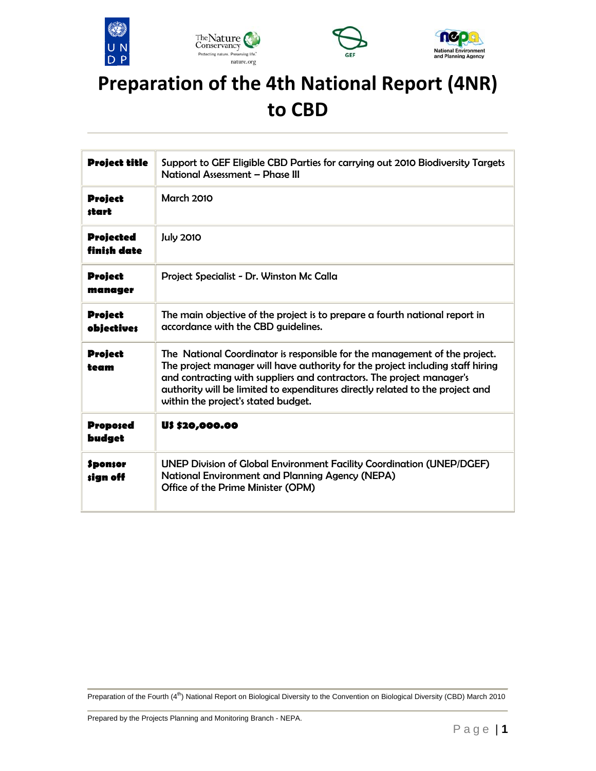





## **Preparation of the 4th National Report (4NR) to CBD**

| <b>Project title</b>                | Support to GEF Eligible CBD Parties for carrying out 2010 Biodiversity Targets<br>National Assessment - Phase III                                                                                                                                                                                                                                             |  |
|-------------------------------------|---------------------------------------------------------------------------------------------------------------------------------------------------------------------------------------------------------------------------------------------------------------------------------------------------------------------------------------------------------------|--|
| <b>Project</b><br>start             | <b>March 2010</b>                                                                                                                                                                                                                                                                                                                                             |  |
| <b>Projected</b><br>finish date     | <b>July 2010</b>                                                                                                                                                                                                                                                                                                                                              |  |
| <b>Project</b><br>manager           | Project Specialist - Dr. Winston Mc Calla                                                                                                                                                                                                                                                                                                                     |  |
| <b>Project</b><br><b>objectives</b> | The main objective of the project is to prepare a fourth national report in<br>accordance with the CBD guidelines.                                                                                                                                                                                                                                            |  |
| <b>Project</b><br>team              | The National Coordinator is responsible for the management of the project.<br>The project manager will have authority for the project including staff hiring<br>and contracting with suppliers and contractors. The project manager's<br>authority will be limited to expenditures directly related to the project and<br>within the project's stated budget. |  |
| <b>Proposed</b><br>budget           | U\$ \$20,000.00                                                                                                                                                                                                                                                                                                                                               |  |
| <b>Sponsor</b><br>sign off          | <b>UNEP Division of Global Environment Facility Coordination (UNEP/DGEF)</b><br><b>National Environment and Planning Agency (NEPA)</b><br>Office of the Prime Minister (OPM)                                                                                                                                                                                  |  |

Preparation of the Fourth (4<sup>th</sup>) National Report on Biological Diversity to the Convention on Biological Diversity (CBD) March 2010